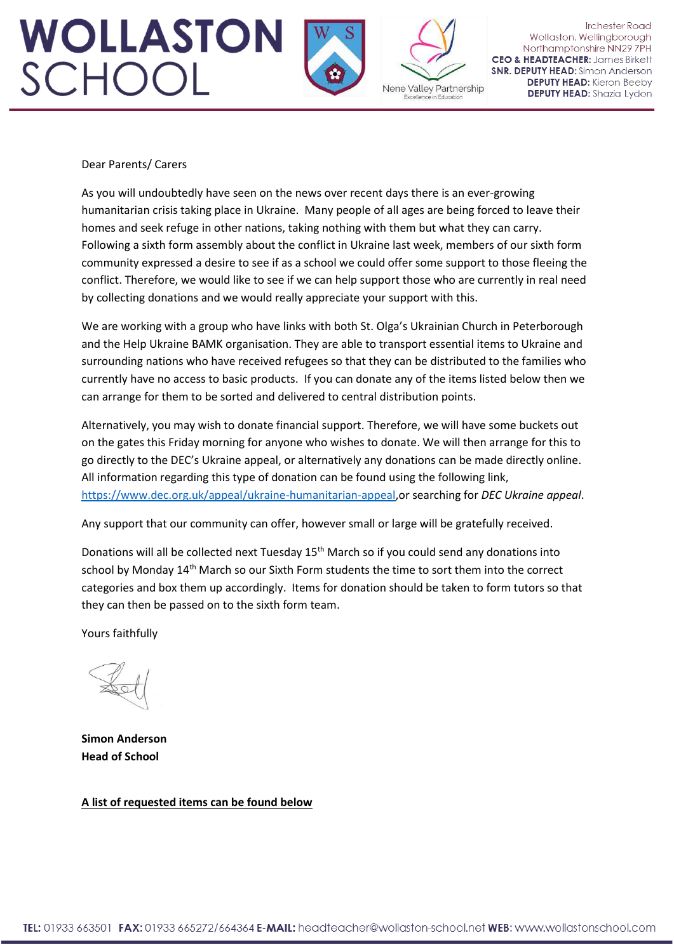## **WOLLASTON** SCHOOL



Nene Valley Partnership Excellence in Educatio

**Irchester Road** Wollaston, Wellingborough Northamptonshire NN29 7PH **CEO & HEADTEACHER: James Birkett SNR. DEPUTY HEAD:** Simon Anderson **DEPUTY HEAD:** Kieron Beeby **DEPUTY HEAD:** Shazia Lydon

## Dear Parents/ Carers

As you will undoubtedly have seen on the news over recent days there is an ever-growing humanitarian crisis taking place in Ukraine. Many people of all ages are being forced to leave their homes and seek refuge in other nations, taking nothing with them but what they can carry. Following a sixth form assembly about the conflict in Ukraine last week, members of our sixth form community expressed a desire to see if as a school we could offer some support to those fleeing the conflict. Therefore, we would like to see if we can help support those who are currently in real need by collecting donations and we would really appreciate your support with this.

We are working with a group who have links with both St. Olga's Ukrainian Church in Peterborough and the Help Ukraine BAMK organisation. They are able to transport essential items to Ukraine and surrounding nations who have received refugees so that they can be distributed to the families who currently have no access to basic products. If you can donate any of the items listed below then we can arrange for them to be sorted and delivered to central distribution points.

Alternatively, you may wish to donate financial support. Therefore, we will have some buckets out on the gates this Friday morning for anyone who wishes to donate. We will then arrange for this to go directly to the DEC's Ukraine appeal, or alternatively any donations can be made directly online. All information regarding this type of donation can be found using the following link, [https://www.dec.org.uk/appeal/ukraine-humanitarian-appeal,](https://www.dec.org.uk/appeal/ukraine-humanitarian-appeal)or searching for *DEC Ukraine appeal*.

Any support that our community can offer, however small or large will be gratefully received.

Donations will all be collected next Tuesday 15<sup>th</sup> March so if you could send any donations into school by Monday 14<sup>th</sup> March so our Sixth Form students the time to sort them into the correct categories and box them up accordingly. Items for donation should be taken to form tutors so that they can then be passed on to the sixth form team.

Yours faithfully

**Simon Anderson Head of School** 

**A list of requested items can be found below**